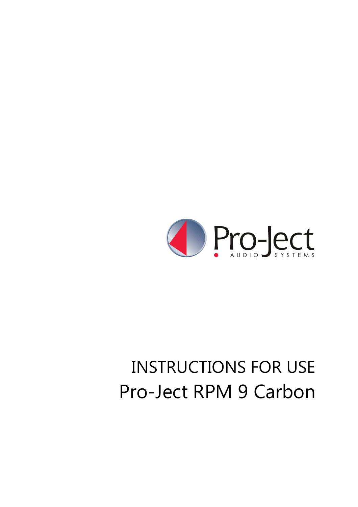

# INSTRUCTIONS FOR USE Pro-Ject RPM 9 Carbon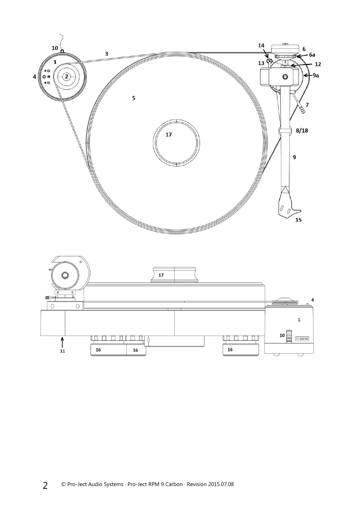

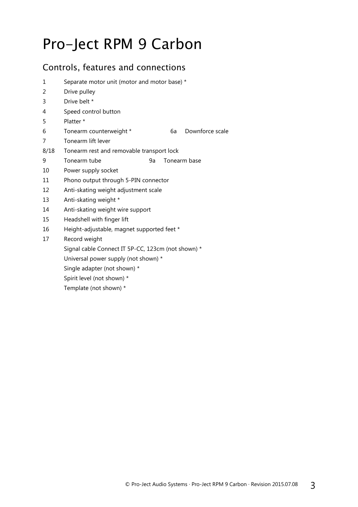# Pro-Ject RPM 9 Carbon

# Controls, features and connections

- 1 Separate motor unit (motor and motor base) \*
- 2 Drive pulley
- 3 Drive belt \*
- 4 Speed control button
- 5 Platter \*
- 6 Tonearm counterweight \* 6a Downforce scale
- 7 Tonearm lift lever
- 8/18 Tonearm rest and removable transport lock
- 9 Tonearm tube 9a Tonearm base
- 10 Power supply socket
- 11 Phono output through 5-PIN connector
- 12 Anti-skating weight adjustment scale
- 13 Anti-skating weight \*
- 14 Anti-skating weight wire support
- 15 Headshell with finger lift
- 16 Height-adjustable, magnet supported feet \*
- 17 Record weight
	- Signal cable Connect IT 5P-CC, 123cm (not shown) \*

Universal power supply (not shown) \*

Single adapter (not shown) \*

Spirit level (not shown) \*

Template (not shown) \*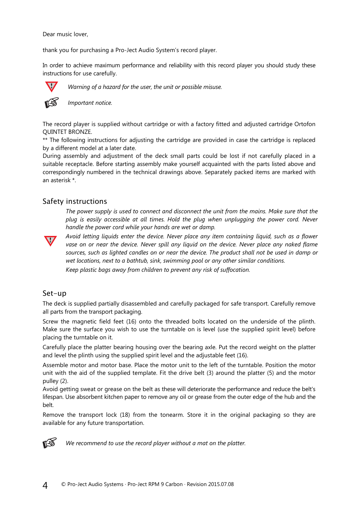Dear music lover,

thank you for purchasing a Pro-Ject Audio System's record player.

In order to achieve maximum performance and reliability with this record player you should study these instructions for use carefully.



**!** *Warning of a hazard for the user, the unit or possible misuse.* 

*Important notice.* 

The record player is supplied without cartridge or with a factory fitted and adjusted cartridge Ortofon QUINTET BRONZE.

\*\* The following instructions for adjusting the cartridge are provided in case the cartridge is replaced by a different model at a later date.

During assembly and adjustment of the deck small parts could be lost if not carefully placed in a suitable receptacle. Before starting assembly make yourself acquainted with the parts listed above and correspondingly numbered in the technical drawings above. Separately packed items are marked with an asterisk \*.

#### Safety instructions

*The power supply is used to connect and disconnect the unit from the mains. Make sure that the plug is easily accessible at all times. Hold the plug when unplugging the power cord. Never handle the power cord while your hands are wet or damp.* 



*Avoid letting liquids enter the device. Never place any item containing liquid, such as a flower vase on or near the device. Never spill any liquid on the device. Never place any naked flame sources, such as lighted candles on or near the device. The product shall not be used in damp or wet locations, next to a bathtub, sink, swimming pool or any other similar conditions.* 

*Keep plastic bags away from children to prevent any risk of suffocation.* 

#### Set-up

The deck is supplied partially disassembled and carefully packaged for safe transport. Carefully remove all parts from the transport packaging.

Screw the magnetic field feet (16) onto the threaded bolts located on the underside of the plinth. Make sure the surface you wish to use the turntable on is level (use the supplied spirit level) before placing the turntable on it.

Carefully place the platter bearing housing over the bearing axle. Put the record weight on the platter and level the plinth using the supplied spirit level and the adjustable feet (16).

Assemble motor and motor base. Place the motor unit to the left of the turntable. Position the motor unit with the aid of the supplied template. Fit the drive belt (3) around the platter (5) and the motor pulley (2).

Avoid getting sweat or grease on the belt as these will deteriorate the performance and reduce the belt's lifespan. Use absorbent kitchen paper to remove any oil or grease from the outer edge of the hub and the belt.

Remove the transport lock (18) from the tonearm. Store it in the original packaging so they are available for any future transportation.



*We recommend to use the record player without a mat on the platter.*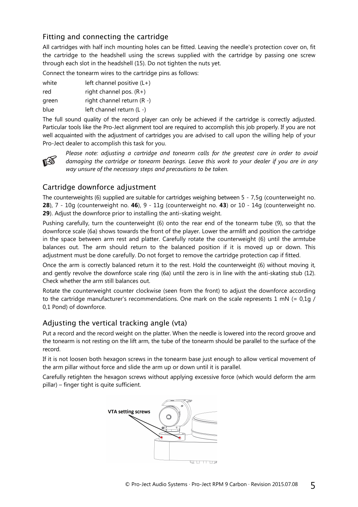# Fitting and connecting the cartridge

All cartridges with half inch mounting holes can be fitted. Leaving the needle's protection cover on, fit the cartridge to the headshell using the screws supplied with the cartridge by passing one screw through each slot in the headshell (15). Do not tighten the nuts yet.

Connect the tonearm wires to the cartridge pins as follows:

| white | left channel positive $(L+)$ |
|-------|------------------------------|
| red   | right channel pos. $(R+)$    |
| green | right channel return (R -)   |
| blue  | left channel return (L -)    |

The full sound quality of the record player can only be achieved if the cartridge is correctly adjusted. Particular tools like the Pro-Ject alignment tool are required to accomplish this job properly. If you are not well acquainted with the adjustment of cartridges you are advised to call upon the willing help of your Pro-Ject dealer to accomplish this task for you.



*Please note: adjusting a cartridge and tonearm calls for the greatest care in order to avoid damaging the cartridge or tonearm bearings. Leave this work to your dealer if you are in any way unsure of the necessary steps and precautions to be taken.* 

# Cartridge downforce adjustment

The counterweights (6) supplied are suitable for cartridges weighing between 5 - 7,5g (counterweight no. **28**), 7 - 10g (counterweight no. **46**), 9 - 11g (counterweight no. **43**) or 10 - 14g (counterweight no. **29**). Adjust the downforce prior to installing the anti-skating weight.

Pushing carefully, turn the counterweight (6) onto the rear end of the tonearm tube (9), so that the downforce scale (6a) shows towards the front of the player. Lower the armlift and position the cartridge in the space between arm rest and platter. Carefully rotate the counterweight (6) until the armtube balances out. The arm should return to the balanced position if it is moved up or down. This adjustment must be done carefully. Do not forget to remove the cartridge protection cap if fitted.

Once the arm is correctly balanced return it to the rest. Hold the counterweight (6) without moving it, and gently revolve the downforce scale ring (6a) until the zero is in line with the anti-skating stub (12). Check whether the arm still balances out.

Rotate the counterweight counter clockwise (seen from the front) to adjust the downforce according to the cartridge manufacturer's recommendations. One mark on the scale represents 1 mN (= 0,1g / 0,1 Pond) of downforce.

# Adjusting the vertical tracking angle (vta)

Put a record and the record weight on the platter. When the needle is lowered into the record groove and the tonearm is not resting on the lift arm, the tube of the tonearm should be parallel to the surface of the record.

If it is not loosen both hexagon screws in the tonearm base just enough to allow vertical movement of the arm pillar without force and slide the arm up or down until it is parallel.

Carefully retighten the hexagon screws without applying excessive force (which would deform the arm pillar) – finger tight is quite sufficient.

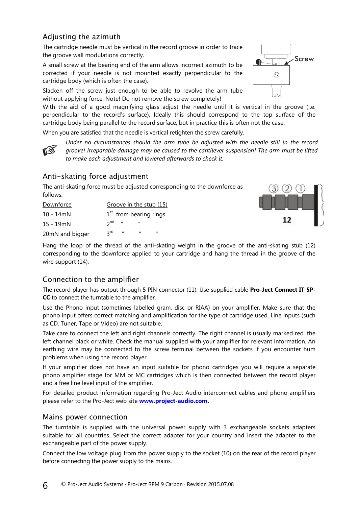# Adjusting the azimuth

The cartridge needle must be vertical in the record groove in order to trace the groove wall modulations correctly.

A small screw at the bearing end of the arm allows incorrect azimuth to be corrected if your needle is not mounted exactly perpendicular to the cartridge body (which is often the case).

Slacken off the screw just enough to be able to revolve the arm tube without applying force. Note! Do not remove the screw completely!

With the aid of a good magnifying glass adjust the needle until it is vertical in the groove (i.e. perpendicular to the record's surface). Ideally this should correspond to the top surface of the cartridge body being parallel to the record surface, but in practice this is often not the case.

When you are satisfied that the needle is vertical retighten the screw carefully.

*Under no circumstances should the arm tube be adjusted with the needle still in the record groove! Irreparable damage may be caused to the cantilever suspension! The arm must be lifted to make each adjustment and lowered afterwards to check it.* 

# Anti-skating force adjustment

以叉

The anti-skating force must be adjusted corresponding to the downforce as follows:

| Downforce       |                   |                          | Groove in the stub (15) |
|-----------------|-------------------|--------------------------|-------------------------|
| $10 - 14$ mN    |                   | $1st$ from bearing rings |                         |
| 15 - 19mN       | $2^{nd}$ "        |                          |                         |
| 20mN and bigger | a <sub>rd</sub> " | $\mathbf{H}$             | $\mathbf{u}$            |



Hang the loop of the thread of the anti-skating weight in the groove of the anti-skating stub (12) corresponding to the downforce applied to your cartridge and hang the thread in the groove of the wire support (14).

# Connection to the amplifier

The record player has output through 5 PIN connector (11). Use supplied cable **Pro-Ject Connect IT 5P-CC** to connect the turntable to the amplifier.

Use the Phono input (sometimes labelled gram, disc or RIAA) on your amplifier. Make sure that the phono input offers correct matching and amplification for the type of cartridge used. Line inputs (such as CD, Tuner, Tape or Video) are not suitable.

Take care to connect the left and right channels correctly. The right channel is usually marked red, the left channel black or white. Check the manual supplied with your amplifier for relevant information. An earthing wire may be connected to the screw terminal between the sockets if you encounter hum problems when using the record player.

If your amplifier does not have an input suitable for phono cartridges you will require a separate phono amplifier stage for MM or MC cartridges which is then connected between the record player and a free line level input of the amplifier.

For detailed product information regarding Pro-Ject Audio interconnect cables and phono amplifiers please refer to the Pro-Ject web site **www.project-audio.com.**

#### Mains power connection

The turntable is supplied with the universal power supply with 3 exchangeable sockets adapters suitable for all countries. Select the correct adapter for your country and insert the adapter to the exchangeable part of the power supply.

Connect the low voltage plug from the power supply to the socket (10) on the rear of the record player before connecting the power supply to the mains.

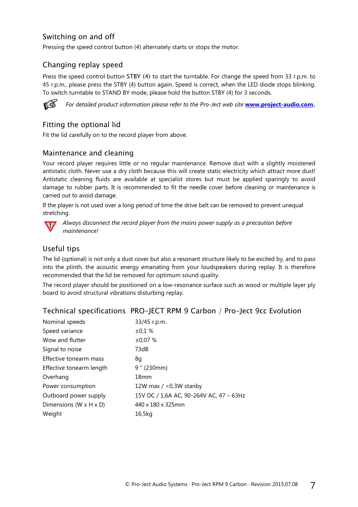# Switching on and off

Pressing the speed control button (4) alternately starts or stops the motor.

# Changing replay speed

Press the speed control button STBY (4) to start the turntable. For change the speed from 33 r.p.m. to 45 r.p.m., please press the STBY (4) button again. Speed is correct, when the LED diode stops blinking. To switch turntable to STAND BY mode, please hold the button STBY (4) for 3 seconds.



*For detailed product information please refer to the Pro-Ject web site* **www.project-audio.com.**

# Fitting the optional lid

Fit the lid carefully on to the record player from above.

#### Maintenance and cleaning

Your record player requires little or no regular maintenance. Remove dust with a slightly moistened antistatic cloth. Never use a dry cloth because this will create static electricity which attract more dust! Antistatic cleaning fluids are available at specialist stores but must be applied sparingly to avoid damage to rubber parts. It is recommended to fit the needle cover before cleaning or maintenance is carried out to avoid damage.

If the player is not used over a long period of time the drive belt can be removed to prevent unequal stretching.



*Always disconnect the record player from the mains power supply as a precaution before maintenance!* 

# Useful tips

The lid (optional) is not only a dust cover but also a resonant structure likely to be excited by, and to pass into the plinth, the acoustic energy emanating from your loudspeakers during replay. It is therefore recommended that the lid be removed for optimum sound quality.

The record player should be positioned on a low-resonance surface such as wood or multiple layer ply board to avoid structural vibrations disturbing replay.

# Technical specifications PRO-JECT RPM 9 Carbon / Pro-Ject 9cc Evolution

| Nominal speeds                       | 33/45 r.p.m.                            |
|--------------------------------------|-----------------------------------------|
| Speed variance                       | ±0,1%                                   |
| Wow and flutter                      | ±0,07%                                  |
| Signal to noise                      | 73dB                                    |
| Effective tonearm mass               | 8g                                      |
| Effective tonearm length             | $9$ " (230mm)                           |
| Overhang                             | 18 <sub>mm</sub>                        |
| Power consumption                    | 12W max / $<$ 0,3W stanby               |
| Outboard power supply                | 15V DC / 1,6A AC, 90-264V AC, 47 - 63Hz |
| Dimensions ( $W \times H \times D$ ) | 440 x 180 x 325mm                       |
| Weight                               | 16,5kg                                  |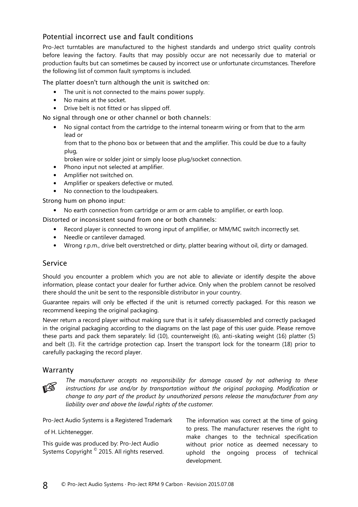# Potential incorrect use and fault conditions

Pro-Ject turntables are manufactured to the highest standards and undergo strict quality controls before leaving the factory. Faults that may possibly occur are not necessarily due to material or production faults but can sometimes be caused by incorrect use or unfortunate circumstances. Therefore the following list of common fault symptoms is included.

The platter doesn't turn although the unit is switched on:

- The unit is not connected to the mains power supply.
- No mains at the socket.
- Drive belt is not fitted or has slipped off.

No signal through one or other channel or both channels:

• No signal contact from the cartridge to the internal tonearm wiring or from that to the arm lead or

from that to the phono box or between that and the amplifier. This could be due to a faulty plug,

broken wire or solder joint or simply loose plug/socket connection.

- Phono input not selected at amplifier.
- Amplifier not switched on.
- Amplifier or speakers defective or muted.
- No connection to the loudspeakers.

Strong hum on phono input:

• No earth connection from cartridge or arm or arm cable to amplifier, or earth loop.

Distorted or inconsistent sound from one or both channels:

- Record player is connected to wrong input of amplifier, or MM/MC switch incorrectly set.
- Needle or cantilever damaged.
- Wrong r.p.m., drive belt overstretched or dirty, platter bearing without oil, dirty or damaged.

#### Service

Should you encounter a problem which you are not able to alleviate or identify despite the above information, please contact your dealer for further advice. Only when the problem cannot be resolved there should the unit be sent to the responsible distributor in your country.

Guarantee repairs will only be effected if the unit is returned correctly packaged. For this reason we recommend keeping the original packaging.

Never return a record player without making sure that is it safely disassembled and correctly packaged in the original packaging according to the diagrams on the last page of this user guide. Please remove these parts and pack them separately: lid (10), counterweight (6), anti-skating weight (16) platter (5) and belt (3). Fit the cartridge protection cap. Insert the transport lock for the tonearm (18) prior to carefully packaging the record player.

#### Warranty



*The manufacturer accepts no responsibility for damage caused by not adhering to these instructions for use and/or by transportation without the original packaging. Modification or change to any part of the product by unauthorized persons release the manufacturer from any liability over and above the lawful rights of the customer.* 

Pro-Ject Audio Systems is a Registered Trademark

of H. Lichtenegger.

This guide was produced by: Pro-Ject Audio Systems Copyright  $^\copyright$  2015. All rights reserved. The information was correct at the time of going to press. The manufacturer reserves the right to make changes to the technical specification without prior notice as deemed necessary to uphold the ongoing process of technical development.